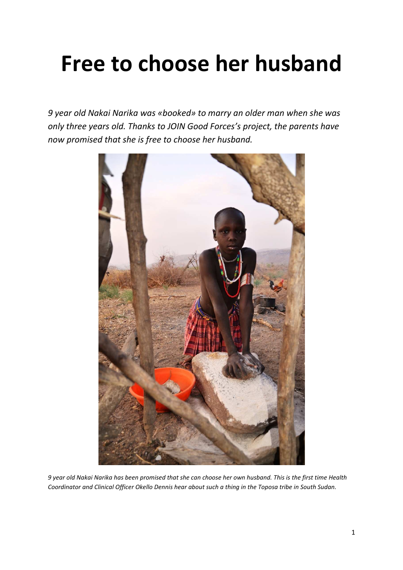# **Free to choose her husband**

*9 year old Nakai Narika was «booked» to marry an older man when she was only three years old. Thanks to JOIN Good Forces's project, the parents have now promised that she is free to choose her husband.* 



*9 year old Nakai Narika has been promised that she can choose her own husband. This is the first time Health Coordinator and Clinical Officer Okello Dennis hear about such a thing in the Toposa tribe in South Sudan.*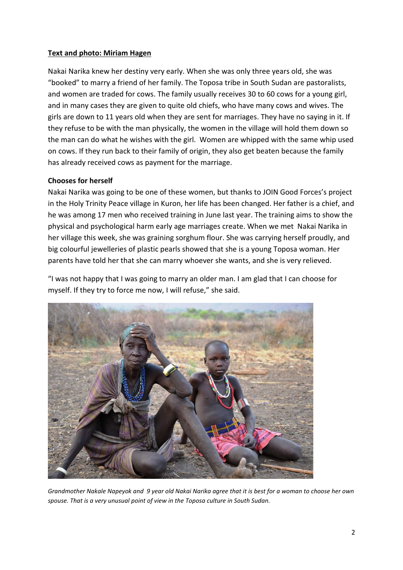#### **Text and photo: Miriam Hagen**

Nakai Narika knew her destiny very early. When she was only three years old, she was "booked" to marry a friend of her family. The Toposa tribe in South Sudan are pastoralists, and women are traded for cows. The family usually receives 30 to 60 cows for a young girl, and in many cases they are given to quite old chiefs, who have many cows and wives. The girls are down to 11 years old when they are sent for marriages. They have no saying in it. If they refuse to be with the man physically, the women in the village will hold them down so the man can do what he wishes with the girl. Women are whipped with the same whip used on cows. If they run back to their family of origin, they also get beaten because the family has already received cows as payment for the marriage.

### **Chooses for herself**

Nakai Narika was going to be one of these women, but thanks to JOIN Good Forces's project in the Holy Trinity Peace village in Kuron, her life has been changed. Her father is a chief, and he was among 17 men who received training in June last year. The training aims to show the physical and psychological harm early age marriages create. When we met Nakai Narika in her village this week, she was graining sorghum flour. She was carrying herself proudly, and big colourful jewelleries of plastic pearls showed that she is a young Toposa woman. Her parents have told her that she can marry whoever she wants, and she is very relieved.

"I was not happy that I was going to marry an older man. I am glad that I can choose for myself. If they try to force me now, I will refuse," she said.



*Grandmother Nakale Napeyok and 9 year old Nakai Narika agree that it is best for a woman to choose her own spouse. That is a very unusual point of view in the Toposa culture in South Sudan.*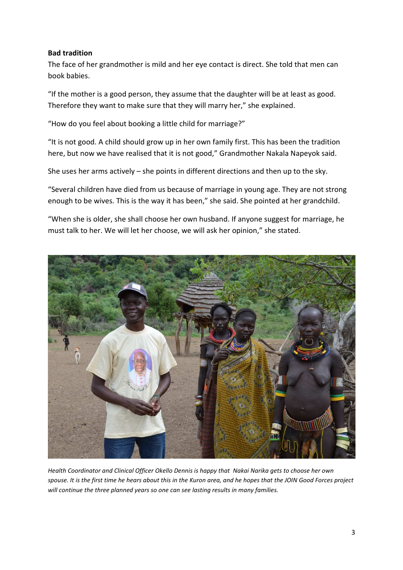#### **Bad tradition**

The face of her grandmother is mild and her eye contact is direct. She told that men can book babies.

"If the mother is a good person, they assume that the daughter will be at least as good. Therefore they want to make sure that they will marry her," she explained.

"How do you feel about booking a little child for marriage?"

"It is not good. A child should grow up in her own family first. This has been the tradition here, but now we have realised that it is not good," Grandmother Nakala Napeyok said.

She uses her arms actively – she points in different directions and then up to the sky.

"Several children have died from us because of marriage in young age. They are not strong enough to be wives. This is the way it has been," she said. She pointed at her grandchild.

"When she is older, she shall choose her own husband. If anyone suggest for marriage, he must talk to her. We will let her choose, we will ask her opinion," she stated.



*Health Coordinator and Clinical Officer Okello Dennis is happy that Nakai Narika gets to choose her own spouse. It is the first time he hears about this in the Kuron area, and he hopes that the JOIN Good Forces project will continue the three planned years so one can see lasting results in many families.*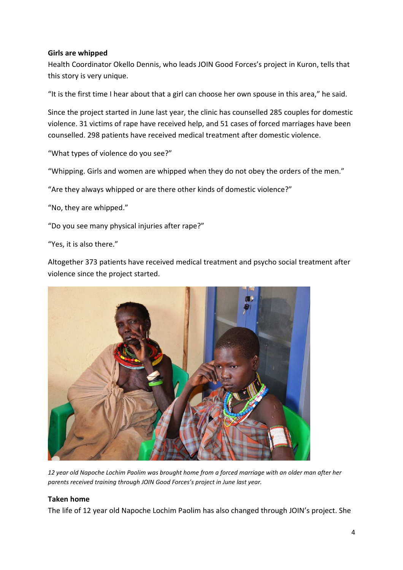#### **Girls are whipped**

Health Coordinator Okello Dennis, who leads JOIN Good Forces's project in Kuron, tells that this story is very unique.

"It is the first time I hear about that a girl can choose her own spouse in this area," he said.

Since the project started in June last year, the clinic has counselled 285 couples for domestic violence. 31 victims of rape have received help, and 51 cases of forced marriages have been counselled. 298 patients have received medical treatment after domestic violence.

"What types of violence do you see?"

"Whipping. Girls and women are whipped when they do not obey the orders of the men."

"Are they always whipped or are there other kinds of domestic violence?"

"No, they are whipped."

"Do you see many physical injuries after rape?"

"Yes, it is also there."

Altogether 373 patients have received medical treatment and psycho social treatment after violence since the project started.



*12 year old Napoche Lochim Paolim was brought home from a forced marriage with an older man after her parents received training through JOIN Good Forces's project in June last year.* 

#### **Taken home**

The life of 12 year old Napoche Lochim Paolim has also changed through JOIN's project. She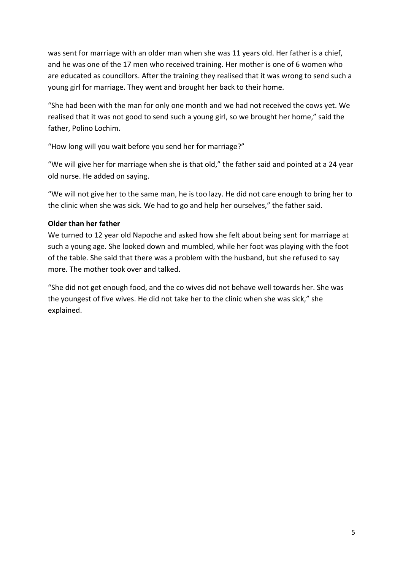was sent for marriage with an older man when she was 11 years old. Her father is a chief, and he was one of the 17 men who received training. Her mother is one of 6 women who are educated as councillors. After the training they realised that it was wrong to send such a young girl for marriage. They went and brought her back to their home.

"She had been with the man for only one month and we had not received the cows yet. We realised that it was not good to send such a young girl, so we brought her home," said the father, Polino Lochim.

"How long will you wait before you send her for marriage?"

"We will give her for marriage when she is that old," the father said and pointed at a 24 year old nurse. He added on saying.

"We will not give her to the same man, he is too lazy. He did not care enough to bring her to the clinic when she was sick. We had to go and help her ourselves," the father said.

## **Older than her father**

We turned to 12 year old Napoche and asked how she felt about being sent for marriage at such a young age. She looked down and mumbled, while her foot was playing with the foot of the table. She said that there was a problem with the husband, but she refused to say more. The mother took over and talked.

"She did not get enough food, and the co wives did not behave well towards her. She was the youngest of five wives. He did not take her to the clinic when she was sick," she explained.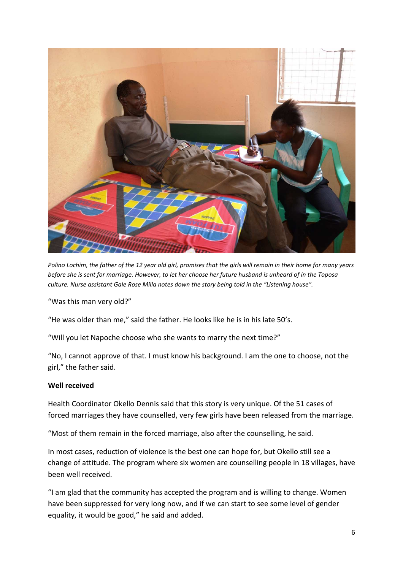

*Polino Lochim, the father of the 12 year old girl, promises that the girls will remain in their home for many years before she is sent for marriage. However, to let her choose her future husband is unheard of in the Toposa culture. Nurse assistant Gale Rose Milla notes down the story being told in the "Listening house".* 

"Was this man very old?"

"He was older than me," said the father. He looks like he is in his late 50's.

"Will you let Napoche choose who she wants to marry the next time?"

"No, I cannot approve of that. I must know his background. I am the one to choose, not the girl," the father said.

### **Well received**

Health Coordinator Okello Dennis said that this story is very unique. Of the 51 cases of forced marriages they have counselled, very few girls have been released from the marriage.

"Most of them remain in the forced marriage, also after the counselling, he said.

In most cases, reduction of violence is the best one can hope for, but Okello still see a change of attitude. The program where six women are counselling people in 18 villages, have been well received.

"I am glad that the community has accepted the program and is willing to change. Women have been suppressed for very long now, and if we can start to see some level of gender equality, it would be good," he said and added.